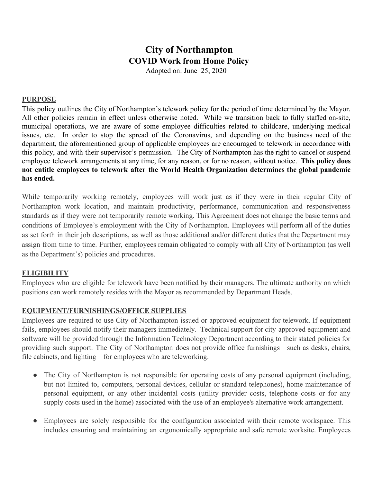# **City of Northampton COVID Work from Home Policy**

Adopted on: June 25, 2020

#### **PURPOSE**

This policy outlines the City of Northampton's telework policy for the period of time determined by the Mayor. All other policies remain in effect unless otherwise noted. While we transition back to fully staffed on-site, municipal operations, we are aware of some employee difficulties related to childcare, underlying medical issues, etc. In order to stop the spread of the Coronavirus, and depending on the business need of the department, the aforementioned group of applicable employees are encouraged to telework in accordance with this policy, and with their supervisor's permission. The City of Northampton has the right to cancel or suspend employee telework arrangements at any time, for any reason, or for no reason, without notice. **This policy does not entitle employees to telework after the World Health Organization determines the global pandemic has ended.**

While temporarily working remotely, employees will work just as if they were in their regular City of Northampton work location, and maintain productivity, performance, communication and responsiveness standards as if they were not temporarily remote working. This Agreement does not change the basic terms and conditions of Employee's employment with the City of Northampton. Employees will perform all of the duties as set forth in their job descriptions, as well as those additional and/or different duties that the Department may assign from time to time. Further, employees remain obligated to comply with all City of Northampton (as well as the Department's) policies and procedures.

#### **ELIGIBILITY**

Employees who are eligible for telework have been notified by their managers. The ultimate authority on which positions can work remotely resides with the Mayor as recommended by Department Heads.

#### **EQUIPMENT/FURNISHINGS/OFFICE SUPPLIES**

Employees are required to use City of Northampton-issued or approved equipment for telework. If equipment fails, employees should notify their managers immediately. Technical support for city-approved equipment and software will be provided through the Information Technology Department according to their stated policies for providing such support. The City of Northampton does not provide office furnishings—such as desks, chairs, file cabinets, and lighting—for employees who are teleworking.

- The City of Northampton is not responsible for operating costs of any personal equipment (including, but not limited to, computers, personal devices, cellular or standard telephones), home maintenance of personal equipment, or any other incidental costs (utility provider costs, telephone costs or for any supply costs used in the home) associated with the use of an employee's alternative work arrangement.
- Employees are solely responsible for the configuration associated with their remote workspace. This includes ensuring and maintaining an ergonomically appropriate and safe remote worksite. Employees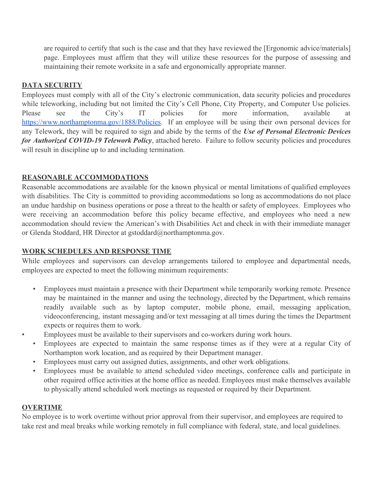are required to certify that such is the case and that they have reviewed the [Ergonomic advice/materials] page. Employees must affirm that they will utilize these resources for the purpose of assessing and maintaining their remote worksite in a safe and ergonomically appropriate manner.

# **DATA SECURITY**

Employees must comply with all of the City's electronic communication, data security policies and procedures while teleworking, including but not limited the City's Cell Phone, City Property, and Computer Use policies. Please see [t](https://www.northamptonma.gov/1888/Policies)he City's IT policies for more information, available at [https://www.northamptonma.gov/1888/Policies.](https://www.northamptonma.gov/1888/Policies) If an employee will be using their own personal devices for any Telework, they will be required to sign and abide by the terms of the *Use of Personal Electronic Devices for Authorized COVID-19 Telework Policy*, attached hereto. Failure to follow security policies and procedures will result in discipline up to and including termination.

# **REASONABLE ACCOMMODATIONS**

Reasonable accommodations are available for the known physical or mental limitations of qualified employees with disabilities. The City is committed to providing accommodations so long as accommodations do not place an undue hardship on business operations or pose a threat to the health or safety of employees. Employees who were receiving an accommodation before this policy became effective, and employees who need a new accommodation should review the American's with Disabilities Act and check in with their immediate manager or Glenda Stoddard, HR Director at gstoddard@northamptonma.gov.

## **WORK SCHEDULES AND RESPONSE TIME**

While employees and supervisors can develop arrangements tailored to employee and departmental needs, employees are expected to meet the following minimum requirements:

- Employees must maintain a presence with their Department while temporarily working remote. Presence may be maintained in the manner and using the technology, directed by the Department, which remains readily available such as by laptop computer, mobile phone, email, messaging application, videoconferencing, instant messaging and/or text messaging at all times during the times the Department expects or requires them to work.
- Employees must be available to their supervisors and co-workers during work hours.
	- Employees are expected to maintain the same response times as if they were at a regular City of Northampton work location, and as required by their Department manager.
	- Employees must carry out assigned duties, assignments, and other work obligations.
	- Employees must be available to attend scheduled video meetings, conference calls and participate in other required office activities at the home office as needed. Employees must make themselves available to physically attend scheduled work meetings as requested or required by their Department.

## **OVERTIME**

No employee is to work overtime without prior approval from their supervisor, and employees are required to take rest and meal breaks while working remotely in full compliance with federal, state, and local guidelines.